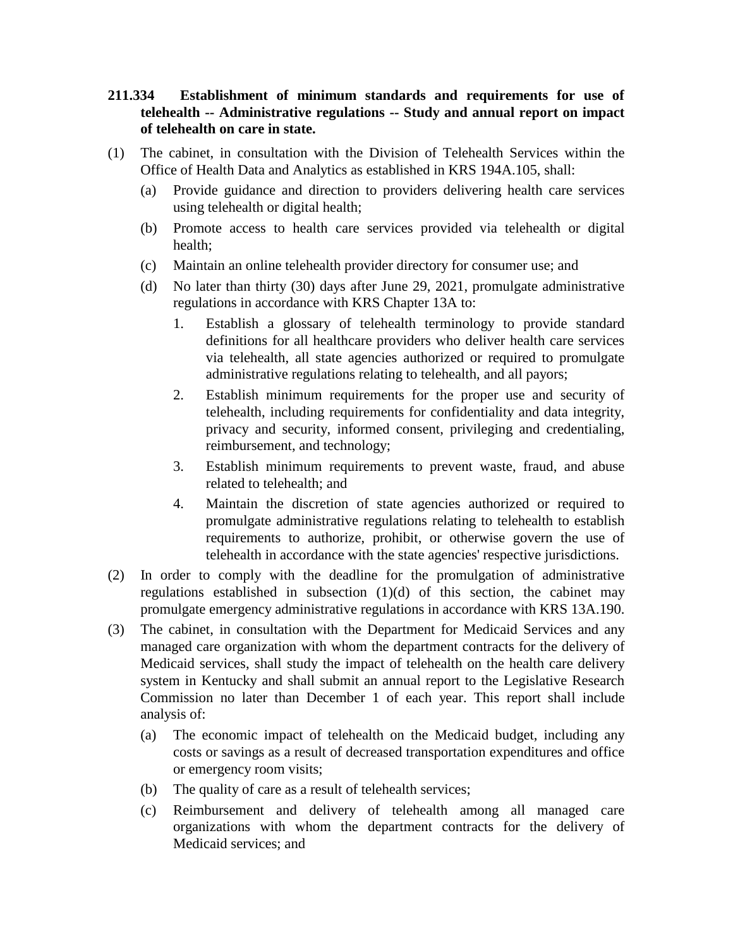## **211.334 Establishment of minimum standards and requirements for use of telehealth -- Administrative regulations -- Study and annual report on impact of telehealth on care in state.**

- (1) The cabinet, in consultation with the Division of Telehealth Services within the Office of Health Data and Analytics as established in KRS 194A.105, shall:
	- (a) Provide guidance and direction to providers delivering health care services using telehealth or digital health;
	- (b) Promote access to health care services provided via telehealth or digital health;
	- (c) Maintain an online telehealth provider directory for consumer use; and
	- (d) No later than thirty (30) days after June 29, 2021, promulgate administrative regulations in accordance with KRS Chapter 13A to:
		- 1. Establish a glossary of telehealth terminology to provide standard definitions for all healthcare providers who deliver health care services via telehealth, all state agencies authorized or required to promulgate administrative regulations relating to telehealth, and all payors;
		- 2. Establish minimum requirements for the proper use and security of telehealth, including requirements for confidentiality and data integrity, privacy and security, informed consent, privileging and credentialing, reimbursement, and technology;
		- 3. Establish minimum requirements to prevent waste, fraud, and abuse related to telehealth; and
		- 4. Maintain the discretion of state agencies authorized or required to promulgate administrative regulations relating to telehealth to establish requirements to authorize, prohibit, or otherwise govern the use of telehealth in accordance with the state agencies' respective jurisdictions.
- (2) In order to comply with the deadline for the promulgation of administrative regulations established in subsection (1)(d) of this section, the cabinet may promulgate emergency administrative regulations in accordance with KRS 13A.190.
- (3) The cabinet, in consultation with the Department for Medicaid Services and any managed care organization with whom the department contracts for the delivery of Medicaid services, shall study the impact of telehealth on the health care delivery system in Kentucky and shall submit an annual report to the Legislative Research Commission no later than December 1 of each year. This report shall include analysis of:
	- (a) The economic impact of telehealth on the Medicaid budget, including any costs or savings as a result of decreased transportation expenditures and office or emergency room visits;
	- (b) The quality of care as a result of telehealth services;
	- (c) Reimbursement and delivery of telehealth among all managed care organizations with whom the department contracts for the delivery of Medicaid services; and